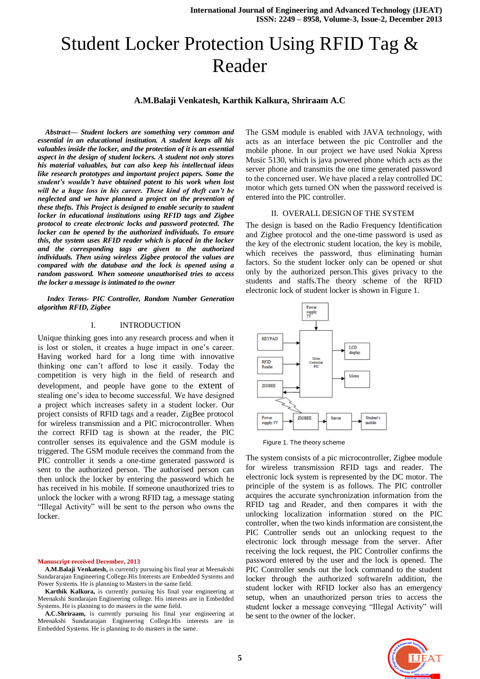# Student Locker Protection Using RFID Tag & Reader

**A.M.Balaji Venkatesh, Karthik Kalkura, Shriraam A.C**

*Abstract— Student lockers are something very common and essential in an educational institution. A student keeps all his valuables inside the locker, and the protection of it is an essential aspect in the design of student lockers. A student not only stores his material valuables, but can also keep his intellectual ideas like research prototypes and important project papers. Some the student's wouldn't have obtained patent to his work when lost will be a huge loss in his career. These kind of theft can't be neglected and we have planned a project on the prevention of these thefts. This Project is designed to enable security to student locker in educational institutions using RFID tags and Zigbee protocol to create electronic locks and password protected. The locker can be opened by the authorized individuals. To ensure this, the system uses RFID reader which is placed in the locker and the corresponding tags are given to the authorized individuals. Then using wireless Zigbee protocol the values are compared with the database and the lock is opened using a random password. When someone unauthorised tries to access the locker a message is intimated to the owner*

*Index Terms- PIC Controller, Random Number Generation algorithm RFID, Zigbee*

#### I. INTRODUCTION

Unique thinking goes into any research process and when it is lost or stolen, it creates a huge impact in one's career. Having worked hard for a long time with innovative thinking one can't afford to lose it easily. Today the competition is very high in the field of research and development, and people have gone to the extent of stealing one's idea to become successful. We have designed a project which increases safety in a student locker. Our project consists of RFID tags and a reader, ZigBee protocol for wireless transmission and a PIC microcontroller. When the correct RFID tag is shown at the reader, the PIC controller senses its equivalence and the GSM module is triggered. The GSM module receives the command from the PIC controller it sends a one-time generated password is sent to the authorized person. The authorised person can then unlock the locker by entering the password which he has received in his mobile. If someone unauthorized tries to unlock the locker with a wrong RFID tag, a message stating "Illegal Activity" will be sent to the person who owns the locker.

#### **Manuscript received December, 2013**

**A.M.Balaji Venkatesh,** is currently pursuing his final year at Meenakshi Sundararajan Engineering College.His Interests are Embedded Systems and Power Systems. He is planning to Masters in the same field.

**Karthik Kalkura,** is currently pursuing his final year engineering at Meenakshi Sundarajan Engineering college. His interests are in Embedded Systems. He is planning to do masters in the same field.

**A.C.Shriraam,** is currently pursuing his final year engineering at Meenakshi Sundararajan Engineering College.His interests are in Embedded Systems. He is planning to do masters in the same.

The GSM module is enabled with JAVA technology, with acts as an interface between the pic Controller and the mobile phone. In our project we have used Nokia Xpress Music 5130, which is java powered phone which acts as the server phone and transmits the one time generated password to the concerned user. We have placed a relay controlled DC motor which gets turned ON when the password received is entered into the PIC controller.

#### II. OVERALL DESIGN OF THE SYSTEM

The design is based on the Radio Frequency Identification and Zigbee protocol and the one-time password is used as the key of the electronic student location, the key is mobile, which receives the password, thus eliminating human factors. So the student locker only can be opened or shut only by the authorized person.This gives privacy to the students and staffs.The theory scheme of the RFID electronic lock of student locker is shown in Figure 1.



Figure 1. The theory scheme

The system consists of a pic microcontroller, Zigbee module for wireless transmission RFID tags and reader. The electronic lock system is represented by the DC motor. The principle of the system is as follows. The PIC controller acquires the accurate synchronization information from the RFID tag and Reader, and then compares it with the unlocking localization information stored on the PIC controller, when the two kinds information are consistent, the PIC Controller sends out an unlocking request to the electronic lock through message from the server. After receiving the lock request, the PIC Controller confirms the password entered by the user and the lock is opened. The PIC Controller sends out the lock command to the student locker through the authorized softwareIn addition, the student locker with RFID locker also has an emergency setup, when an unauthorized person tries to access the student locker a message conveying "Illegal Activity" will be sent to the owner of the locker.

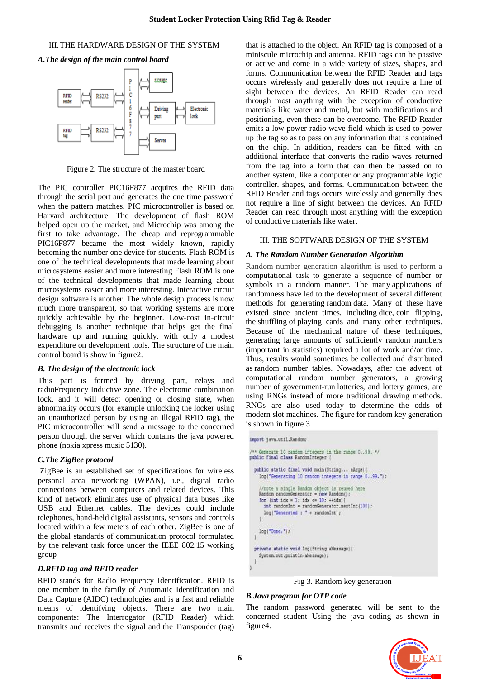#### III.THE HARDWARE DESIGN OF THE SYSTEM

*A.The design of the main control board*



Figure 2. The structure of the master board

The PIC controller PIC16F877 acquires the RFID data through the serial port and generates the one time password when the pattern matches. PIC microcontroller is based on Harvard architecture. The development of flash ROM helped open up the market, and Microchip was among the first to take advantage. The cheap and reprogrammable PIC16F877 became the most widely known, rapidly becoming the number one device for students. Flash ROM is one of the technical developments that made learning about microsystems easier and more interesting Flash ROM is one of the technical developments that made learning about microsystems easier and more interesting. Interactive circuit design software is another. The whole design process is now much more transparent, so that working systems are more quickly achievable by the beginner. Low-cost in-circuit debugging is another technique that helps get the final hardware up and running quickly, with only a modest expenditure on development tools. The structure of the main control board is show in figure2.

#### *B. The design of the electronic lock*

This part is formed by driving part, relays and radioFrequency Inductive zone. The electronic combination lock, and it will detect opening or closing state, when abnormality occurs (for example unlocking the locker using an unauthorized person by using an illegal RFID tag), the PIC microcontroller will send a message to the concerned person through the server which contains the java powered phone (nokia xpress music 5130).

## *C.The ZigBee protocol*

ZigBee is an established set of specifications for wireless personal area networking (WPAN), i.e., digital radio connections between computers and related devices. This kind of network eliminates use of physical data buses like USB and Ethernet cables. The devices could include telephones, hand-held digital assistants, sensors and controls located within a few meters of each other. ZigBee is one of the global standards of communication protocol formulated by the relevant task force under the IEEE 802.15 working group

## *D.RFID tag and RFID reader*

RFID stands for Radio Frequency Identification. RFID is one member in the family of Automatic Identification and Data Capture (AIDC) technologies and is a fast and reliable means of identifying objects. There are two main components: The Interrogator (RFID Reader) which transmits and receives the signal and the Transponder (tag)

that is attached to the object. An RFID tag is composed of a miniscule microchip and antenna. RFID tags can be passive or active and come in a wide variety of sizes, shapes, and forms. Communication between the RFID Reader and tags occurs wirelessly and generally does not require a line of sight between the devices. An RFID Reader can read through most anything with the exception of conductive materials like water and metal, but with modifications and positioning, even these can be overcome. The RFID Reader emits a low-power radio wave field which is used to power up the tag so as to pass on any information that is contained on the chip. In addition, readers can be fitted with an additional interface that converts the radio waves returned from the tag into a form that can then be passed on to another system, like a computer or any programmable logic controller. shapes, and forms. Communication between the RFID Reader and tags occurs wirelessly and generally does not require a line of sight between the devices. An RFID Reader can read through most anything with the exception of conductive materials like water.

## III. THE SOFTWARE DESIGN OF THE SYSTEM

## *A. The Random Number Generation Algorithm*

Random number generation algorithm is used to perform a computational task to generate a sequence of number or symbols in a random manner. The many applications of randomness have led to the development of several different methods for generating random data. Many of these have existed since ancient times, including dice, coin flipping, the shuffling of playing cards and many other techniques. Because of the mechanical nature of these techniques, generating large amounts of sufficiently random numbers (important in statistics) required a lot of work and/or time. Thus, results would sometimes be collected and distributed as random number tables. Nowadays, after the advent of computational random number generators, a growing number of government-run lotteries, and lottery games, are using RNGs instead of more traditional drawing methods. RNGs are also used today to determine the odds of modern slot machines. The figure for random key generation is shown in figure 3



Fig 3. Random key generation

## *B.Java program for OTP code*

The random password generated will be sent to the concerned student Using the java coding as shown in figure4.